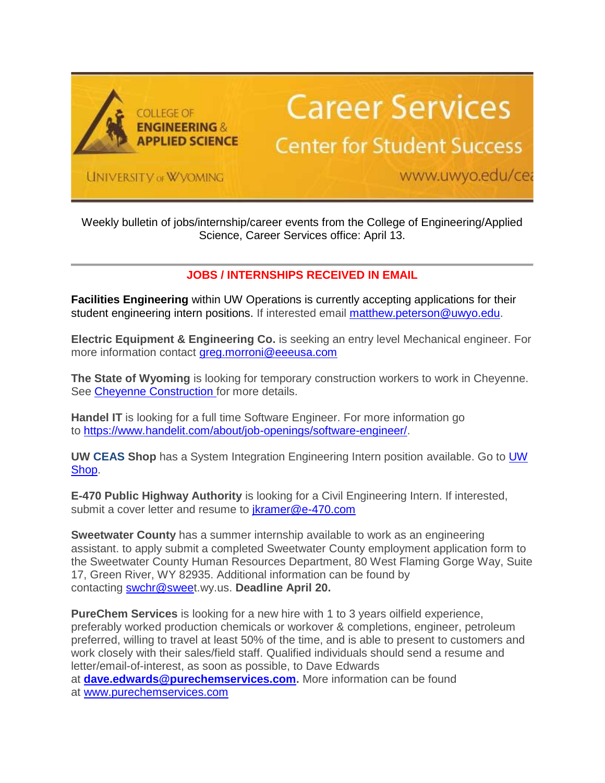

## **Career Services**

## **Center for Student Success**

UNIVERSITY of W'VOMING

www.uwyo.edu/cea

Weekly bulletin of jobs/internship/career events from the College of Engineering/Applied Science, Career Services office: April 13.

## **JOBS / INTERNSHIPS RECEIVED IN EMAIL**

**Facilities Engineering** within UW Operations is currently accepting applications for their student engineering intern positions. If interested email [matthew.peterson@uwyo.edu.](mailto:matthew.peterson@uwyo.edu)

**Electric Equipment & Engineering Co.** is seeking an entry level Mechanical engineer. For more information contact [greg.morroni@eeeusa.com](mailto:greg.morroni@eeeusa.com)

**The State of Wyoming** is looking for temporary construction workers to work in Cheyenne. See [Cheyenne Construction](http://info.uwyo.edu/e1t/c/*W2h4P7b3h1VCLW4l_YTJ6l15tR0/*W6xHYQ36W7kHXW69hMq78RXmqS0/5/f18dQhb0S3j17w3xTHV1xB1h2vj0mLW605Cmq2wrNkRW2jCVyF4d2X0yW35lNBv7-Tqx_W9b_9MF6zj_zmVfBFbn8wncP2VfZjQB13H9mYW4w6w3D3jwYPXW7BYvpk49Vtr6W4z5PXc9393NjTS79648gRdjW4jtSm13hNgL0W87p4mh550d7zW5QY9Xp1qKW0tW1d-XnR1tPWVyW6S2lhG3xBp30W7mq-Zc3cW837W4fS6lz3K06V0W2qTjJK1gK_4jW1Qn2ff3Qhc61W35rLnN5fprNBW19ZZpp3dhZRNW8lrVss5TK99xW9lXX7t1QY7rzW8BQ59H605RHYW2dFrP25DKDHVW8QDqrP6rY7dqVCNl0J7p3H9VW4SL9lK2Jl5wJVgMkTv1d8SwfW4hBMtb24FF7CW1YVcZT6ltlD4W7WPQ2P5MhSkJN40Ww-jCWBtXW3hXGzl3q352TW58TmSd1mqL3VW8Dwqbp2RzPk8N4jsTsrTMQ-RW8qbRSC675MgqW4cq8572KnCdQW3sM_9M7FgB3gW8hydRF8FwFX-W6RPWRn2B6j8rW4Hbn709dJ5BSW3b88sf4ZZf8YW5LXJhg99hzkGf65bR1w02) for more details.

**Handel IT** is looking for a full time Software Engineer. For more information go to [https://www.handelit.com/about/job-openings/software-engineer/.](http://info.uwyo.edu/e1t/c/*W2h4P7b3h1VCLW4l_YTJ6l15tR0/*W4_Tzf43jzTJ2W8pRqMm6g45mV0/5/f18dQhb0S3j173n-R8W12dLWn4Rz-BBW605CnC2wrGMrVHyqZt6nYBhWVf0_Kk80KYw2W933K5C3dyrcbW12jH3j5TgVvqW4KV-9D7CGG7_W85vY5N2ZC97fW95dR4g1ppXrkN4vMSzrfvlSxW1ph7-13gJflqW5GFvcJ5dSglpW5WHF1g5TV1B5W7N3dGk1_QgJ8W4N3kx13r9K74N8K4J-xpS4GfN89V0Nj_Lb7wW7MzcLR7pKzKpW7jMmhs7FR_0pW4gb4Ws19RK0_W6smqZP4QxJfPW7w-kyd8m0_QDW4S0GN242tbQvW7lNlNx5xGkkXW7QNMXY8HP7MyW6S5Hk31dkTs7W4N3y1W80P-vMW4RZKhZ2RzgKlN84G8W_H12S6W5NYQ0C6DcFJNW7rSVG42JRPwzW4jnRFL2RDvT5VgwqFN3JM0VzW6Lsnkc1l4TnzW76-PY63BKkfbW8xYLzJ8bMYwJW2CT8bT1c-0sJW6Mrxhs59rCwWW1Mf17P8XV406W6-mwnl6D0F6mW3Gjp6G5tHXGTN4K7GZcmw9H9f3kz7hv04)

**UW CEAS Shop** has a System Integration Engineering Intern position available. Go to [UW](http://info.uwyo.edu/e1t/c/*W2h4P7b3h1VCLW4l_YTJ6l15tR0/*W600Lg92WDKXJW9kzr1t705h1z0/5/f18dQhb0SbTZ8YHr6CW8gXKWt6ghkRDVWs4R05711k3W5r8vwP3mm42mW67g9zk3KqSrrVV7K6-8p61SKV7C6PD98jxtjVRzDgz98w-4vW2z932995ldqqW1YYRBz2G03XGW5_N7b963k5LDW7Xmcnz5F3055VVyNvZ5yY1kjW61SSZm7mG7sDW51vX4y6HJsKYN746k36cSXyhW3xtSh67JCxGlW81bhDK7N_KnnW2T1XrK7NrMZsN3ndf-_zFDxrW4LQY-y7Wp5_cW3NnV4F1nJpwvW26pdfj35y0QdN6L5vlMLwRR9MNt9Wv-tXSQW29mtwq8lX0cgN6TL8B9_czBCN4XC5jGVxx5cW4pXBRv3JkSDMW2zqclz643-l0MSqd-XdDjv4W67h4hm2Dg6h5VWFhYF38SKRfN8wbtqYRRJkSW8mVRDT7q7-QQW6w-c_q8Ph58-W59BvjY2GFzPqW7B0nQ41tgTY8N7TPQCSP9GRKW8j1V-R2cky_HW6N6Wm57yfsqdW7YyGC187LwZJV6c1zz6n6vM3W5_5dj93xWwfqS5GW9bckFN102)  [Shop.](http://info.uwyo.edu/e1t/c/*W2h4P7b3h1VCLW4l_YTJ6l15tR0/*W600Lg92WDKXJW9kzr1t705h1z0/5/f18dQhb0SbTZ8YHr6CW8gXKWt6ghkRDVWs4R05711k3W5r8vwP3mm42mW67g9zk3KqSrrVV7K6-8p61SKV7C6PD98jxtjVRzDgz98w-4vW2z932995ldqqW1YYRBz2G03XGW5_N7b963k5LDW7Xmcnz5F3055VVyNvZ5yY1kjW61SSZm7mG7sDW51vX4y6HJsKYN746k36cSXyhW3xtSh67JCxGlW81bhDK7N_KnnW2T1XrK7NrMZsN3ndf-_zFDxrW4LQY-y7Wp5_cW3NnV4F1nJpwvW26pdfj35y0QdN6L5vlMLwRR9MNt9Wv-tXSQW29mtwq8lX0cgN6TL8B9_czBCN4XC5jGVxx5cW4pXBRv3JkSDMW2zqclz643-l0MSqd-XdDjv4W67h4hm2Dg6h5VWFhYF38SKRfN8wbtqYRRJkSW8mVRDT7q7-QQW6w-c_q8Ph58-W59BvjY2GFzPqW7B0nQ41tgTY8N7TPQCSP9GRKW8j1V-R2cky_HW6N6Wm57yfsqdW7YyGC187LwZJV6c1zz6n6vM3W5_5dj93xWwfqS5GW9bckFN102)

**E-470 Public Highway Authority** is looking for a Civil Engineering Intern. If interested, submit a cover letter and resume to [jkramer@e-470.com](mailto:jkramer@e-470.com)

**Sweetwater County** has a summer internship available to work as an engineering assistant. to apply submit a completed Sweetwater County employment application form to the Sweetwater County Human Resources Department, 80 West Flaming Gorge Way, Suite 17, Green River, WY 82935. Additional information can be found by contacting [swchr@sweet](mailto:swchr@sweet).wy.us. **Deadline April 20.**

**PureChem Services** is looking for a new hire with 1 to 3 years oilfield experience, preferably worked production chemicals or workover & completions, engineer, petroleum preferred, willing to travel at least 50% of the time, and is able to present to customers and work closely with their sales/field staff. Qualified individuals should send a resume and letter/email-of-interest, as soon as possible, to Dave Edwards at **[dave.edwards@purechemservices.com.](mailto:dave.edwards@purechemservices.com)** More information can be found at [www.purechemservices.com](http://info.uwyo.edu/e1t/c/*W2h4P7b3h1VCLW4l_YTJ6l15tR0/*VSklkQ1-p0Z5W13-PlJ4FNMSt0/5/f18dQhb0SmhV8XJ8hgW8gXKWt6ghkRDVWs4R057skKTW5r8vy28yym7NN5yMlsdRHMN1N61mmKBRzbHqW65HP8y8tzLyDW5y5jh-1rfXlzW1kRpb77YD0cjVf8vtw4qyxKsVS9p4Y68ty0BW8W2c9W32CQ2lW8jxMNS1VwV0kW3HbcNk1SdKWJW32j3_J11RrjwW6f0gKJ1ZcjVfW1txG9N6GsfdKW8XNh8_7JMhZFMz0W7gtyHfnVjb-lN1S22bYN8_P_TDy-H86W7mwMhl8PW_13W226dgx1DcNp7N1x_xf5tdR7ZW2QmCBc59x6f9VhTKPt7lvWRrW7wym0w1NjpB3W2PSB4D1DKMKRW4hMQKR45Tj6KVtJ6yr5HFzhYW7dr9qW72YqDyW3KQdFR5B2tr1W5xFltY3jjyqrW5y6Lks714h8QW1nzmSB8VrfFwW119glj7zLY4QW3K2jfh6SkNtpW2GZ53g7GLBkyW4L1Mmr4JXQH_V18_8F6fRkh2103)